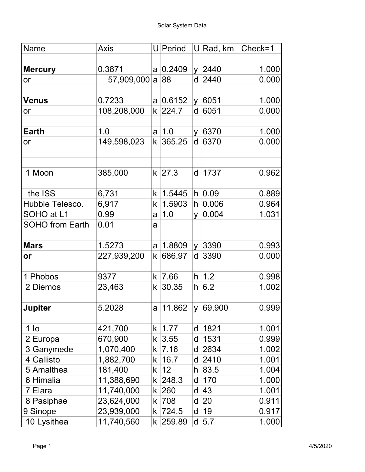| Name                   | <b>Axis</b> |              | $U$ Period      |    | U∣Rad, km  | Check=1 |
|------------------------|-------------|--------------|-----------------|----|------------|---------|
| <b>Mercury</b>         | 0.3871      |              | $a \mid 0.2409$ |    | $y$ 2440   | 1.000   |
| or                     | 57,909,000  |              | a 88            |    | $d$ 2440   | 0.000   |
|                        |             |              |                 |    |            |         |
| <b>Venus</b>           | 0.7233      |              | $a \mid 0.6152$ |    | y   6051   | 1.000   |
| or                     | 108,208,000 |              | $k$ 224.7       |    | d 6051     | 0.000   |
| <b>Earth</b>           | 1.0         |              | $a \mid 1.0$    |    | y 6370     | 1.000   |
| or                     | 149,598,023 | k            | 365.25          | d  | 6370       | 0.000   |
| 1 Moon                 | 385,000     |              | $k$ 27.3        |    | d   1737   | 0.962   |
|                        |             |              |                 |    |            |         |
| the ISS                | 6,731       | $\mathsf{k}$ | 1.5445          |    | h 0.09     | 0.889   |
| Hubble Telesco.        | 6,917       | k            | 1.5903          | h. | 0.006      | 0.964   |
| SOHO at L1             | 0.99        | a            | 1.0             | y  | 0.004      | 1.031   |
| <b>SOHO from Earth</b> | 0.01        | a            |                 |    |            |         |
| <b>Mars</b>            | 1.5273      | a            | 1.8809          |    | y 3390     | 0.993   |
| or                     | 227,939,200 | k            | 686.97          | d  | 3390       | 0.000   |
| 1 Phobos               | 9377        |              | $k$ 7.66        |    | $h$ 1.2    | 0.998   |
| 2 Diemos               | 23,463      | k            | 30.35           |    | h 6.2      | 1.002   |
|                        |             |              |                 |    |            |         |
| <b>Jupiter</b>         | 5.2028      | a            | 11.862          |    | y   69,900 | 0.999   |
| 1 <sub>lo</sub>        | 421,700     | k            | 1.77            | d  | 1821       | 1.001   |
| 2 Europa               | 670,900     | k            | 3.55            | d  | 1531       | 0.999   |
| 3 Ganymede             | 1,070,400   | k            | 7.16            | d  | 2634       | 1.002   |
| 4 Callisto             | 1,882,700   | k            | 16.7            | d  | $ 2410$    | 1.001   |
| 5 Amalthea             | 181,400     | k            | 12              |    | $h$ 83.5   | 1.004   |
| 6 Himalia              | 11,388,690  | k            | 248.3           | d  | 170        | 1.000   |
| 7 Elara                | 11,740,000  | k            | 260             | d  | 43         | 1.001   |
| 8 Pasiphae             | 23,624,000  |              | k 708           | d  | 20         | 0.911   |
| 9 Sinope               | 23,939,000  | k            | 724.5           | d  | 19         | 0.917   |
| 10 Lysithea            | 11,740,560  | k            | 259.89          |    | $d$ 5.7    | 1.000   |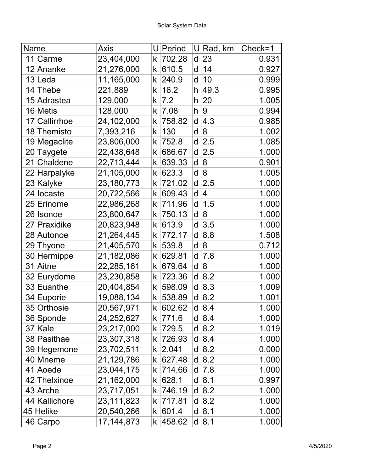| Name          | <b>Axis</b>  |    | U Period | U | Rad, km                  | Check=1 |
|---------------|--------------|----|----------|---|--------------------------|---------|
| 11 Carme      | 23,404,000   | k  | 702.28   | d | 23                       | 0.931   |
| 12 Ananke     | 21,276,000   | k  | 610.5    | d | 14                       | 0.927   |
| 13 Leda       | 11,165,000   | k  | 240.9    | d | 10                       | 0.999   |
| 14 Thebe      | 221,889      | k  | 16.2     |   | $h$ 49.3                 | 0.995   |
| 15 Adrastea   | 129,000      | k  | 7.2      | h | 20                       | 1.005   |
| 16 Metis      | 128,000      | k  | 7.08     | h | <u>g</u>                 | 0.994   |
| 17 Callirrhoe | 24,102,000   | k  | 758.82   | d | 4.3                      | 0.985   |
| 18 Themisto   | 7,393,216    | k  | 130      | d | 8                        | 1.002   |
| 19 Megaclite  | 23,806,000   | k  | 752.8    | d | 2.5                      | 1.085   |
| 20 Taygete    | 22,438,648   | k  | 686.67   | d | 2.5                      | 1.000   |
| 21 Chaldene   | 22,713,444   | k  | 639.33   | d | 8                        | 0.901   |
| 22 Harpalyke  | 21,105,000   | k  | 623.3    | d | $\overline{8}$           | 1.005   |
| 23 Kalyke     | 23,180,773   | k  | 721.02   | d | 2.5                      | 1.000   |
| 24 locaste    | 20,722,566   | k  | 609.43   | d | $\overline{\mathcal{A}}$ | 1.000   |
| 25 Erinome    | 22,986,268   | k  | 711.96   | d | 1.5                      | 1.000   |
| 26 Isonoe     | 23,800,647   | k  | 750.13   | d | 8                        | 1.000   |
| 27 Praxidike  | 20,823,948   | k  | 613.9    | d | 3.5                      | 1.000   |
| 28 Autonoe    | 21,264,445   | k  | 772.17   | d | 8.8                      | 1.508   |
| 29 Thyone     | 21,405,570   | k  | 539.8    | d | $\overline{8}$           | 0.712   |
| 30 Hermippe   | 21,182,086   | k  | 629.81   | d | 7.8                      | 1.000   |
| 31 Aitne      | 22,285,161   | k  | 679.64   | d | 8                        | 1.000   |
| 32 Eurydome   | 23,230,858   | k  | 723.36   | d | 8.2                      | 1.000   |
| 33 Euanthe    | 20,404,854   | k  | 598.09   | d | 8.3                      | 1.009   |
| 34 Euporie    | 19,088,134   | k  | 538.89   |   | $d \,   8.2$             | 1.001   |
| 35 Orthosie   | 20,567,971   | k  | 602.62   |   | $d \,   8.4$             | 1.000   |
| 36 Sponde     | 24,252,627   | k. | 771.6    |   | $d \,   8.4$             | 1.000   |
| 37 Kale       | 23,217,000   | k  | 729.5    |   | $d \,   8.2$             | 1.019   |
| 38 Pasithae   | 23,307,318   | k  | 726.93   |   | $d \,   8.4$             | 1.000   |
| 39 Hegemone   | 23,702,511   | k  | 2.041    |   | $d$ 8.2                  | 0.000   |
| 40 Mneme      | 21,129,786   | k  | 627.48   |   | $d$ 8.2                  | 1.000   |
| 41 Aoede      | 23,044,175   | k  | 714.66   | d | 7.8                      | 1.000   |
| 42 Thelxinoe  | 21,162,000   | k. | 628.1    |   | $d$ 8.1                  | 0.997   |
| 43 Arche      | 23,717,051   | k  | 746.19   |   | $d \,   8.2$             | 1.000   |
| 44 Kallichore | 23,111,823   | k  | 717.81   |   | $d$ 8.2                  | 1.000   |
| 45 Helike     | 20,540,266   | k. | 601.4    |   | $d$ 8.1                  | 1.000   |
| 46 Carpo      | 17, 144, 873 | k. | 458.62   |   | $d$ 8.1                  | 1.000   |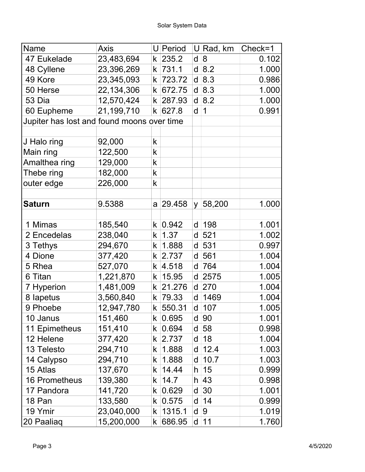| Name                                       | Axis         |                      | U Period  |              | $U$ Rad, km  | Check=1 |
|--------------------------------------------|--------------|----------------------|-----------|--------------|--------------|---------|
| 47 Eukelade                                | 23,483,694   | k                    | 235.2     | d            | $\mathbf{8}$ | 0.102   |
| 48 Cyllene                                 | 23,396,269   | k                    | 731.1     |              | $d$ 8.2      | 1.000   |
| 49 Kore                                    | 23,345,093   | k                    | 723.72    | d            | 8.3          | 0.986   |
| 50 Herse                                   | 22, 134, 306 | k                    | 672.75    |              | $d$ 8.3      | 1.000   |
| 53 Dia                                     | 12,570,424   | k                    | 287.93    |              | $d$ 8.2      | 1.000   |
| 60 Eupheme                                 | 21,199,710   | $\mathsf k\mid$      | 627.8     | $\mathsf{d}$ | $\mathbf 1$  | 0.991   |
| Jupiter has lost and found moons over time |              |                      |           |              |              |         |
|                                            |              |                      |           |              |              |         |
| J Halo ring                                | 92,000       | $\mathsf k$          |           |              |              |         |
| Main ring                                  | 122,500      | k                    |           |              |              |         |
| Amalthea ring                              | 129,000      | k                    |           |              |              |         |
| Thebe ring                                 | 182,000      | k                    |           |              |              |         |
| outer edge                                 | 226,000      | k                    |           |              |              |         |
|                                            |              |                      |           |              |              |         |
| <b>Saturn</b>                              | 9.5388       | a                    | 29.458    | <b>V</b>     | 58,200       | 1.000   |
|                                            |              |                      |           |              |              |         |
| 1 Mimas                                    | 185,540      | k                    | 0.942     | d            | 198          | 1.001   |
| 2 Encedelas                                | 238,040      | k                    | 1.37      | d            | 521          | 1.002   |
| 3 Tethys                                   | 294,670      | k                    | 1.888     | d            | 531          | 0.997   |
| 4 Dione                                    | 377,420      | k                    | 2.737     | d            | 561          | 1.004   |
| 5 Rhea                                     | 527,070      | k                    | 4.518     | d            | 764          | 1.004   |
| 6 Titan                                    | 1,221,870    | k                    | 15.95     |              | d 2575       | 1.005   |
| 7 Hyperion                                 | 1,481,009    | k                    | 21.276    |              | $d$ 270      | 1.004   |
| 8 lapetus                                  | 3,560,840    | k                    | 79.33     |              | d   1469     | 1.004   |
| 9 Phoebe                                   | 12,947,780   |                      | k  550.31 |              | d   107      | 1.005   |
| 10 Janus                                   | 151,460      | k.                   | 0.695     | d            | 90           | 1.001   |
| 11 Epimetheus                              | 151,410      | k.                   | 0.694     |              | d 58         | 0.998   |
| 12 Helene                                  | 377,420      | k                    | 2.737     | d            | 18           | 1.004   |
| 13 Telesto                                 | 294,710      | k                    | 1.888     |              | $d$ 12.4     | 1.003   |
| 14 Calypso                                 | 294,710      | k                    | 1.888     | d            | 10.7         | 1.003   |
| 15 Atlas                                   | 137,670      | k                    | 14.44     | h.           | 15           | 0.999   |
| 16 Prometheus                              | 139,380      | k                    | 14.7      |              | $h$ 43       | 0.998   |
| 17 Pandora                                 | 141,720      | k                    | 0.629     | d            | $ 30\rangle$ | 1.001   |
| 18 Pan                                     | 133,580      | k.                   | 0.575     |              | $d$ 14       | 0.999   |
| 19 Ymir                                    | 23,040,000   | k                    | 1315.1    | d            | $ 9\rangle$  | 1.019   |
| 20 Paaliaq                                 | 15,200,000   | $\mathsf k\,$ $\mid$ | 686.95    |              | $d$ 11       | 1.760   |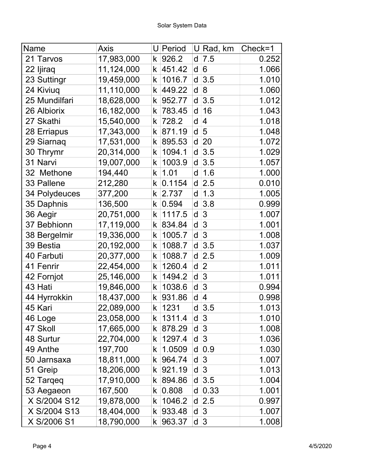| Name          | <b>Axis</b> |             | $U$ Period | U | Rad, km        | Check=1 |
|---------------|-------------|-------------|------------|---|----------------|---------|
| 21 Tarvos     | 17,983,000  | k           | 926.2      | d | 7.5            | 0.252   |
| 22 Ijiraq     | 11,124,000  | k           | 451.42     | d | 6              | 1.066   |
| 23 Suttingr   | 19,459,000  | k           | 1016.7     | d | 3.5            | 1.010   |
| 24 Kiviuq     | 11,110,000  | k           | 449.22     | d | $\mathsf{8}$   | 1.060   |
| 25 Mundilfari | 18,628,000  | k           | 952.77     | d | 3.5            | 1.012   |
| 26 Albiorix   | 16,182,000  | k           | 783.45     | d | 16             | 1.043   |
| 27 Skathi     | 15,540,000  | k           | 728.2      | d | $\overline{4}$ | 1.018   |
| 28 Erriapus   | 17,343,000  | k           | 871.19     | d | 5              | 1.048   |
| 29 Siarnaq    | 17,531,000  | k           | 895.53     | d | 20             | 1.072   |
| 30 Thrymr     | 20,314,000  | k           | 1094.1     | d | 3.5            | 1.029   |
| 31 Narvi      | 19,007,000  | k           | 1003.9     | d | 3.5            | 1.057   |
| 32 Methone    | 194,440     | k           | 1.01       | d | 1.6            | 1.000   |
| 33 Pallene    | 212,280     | k           | 0.1154     | d | 2.5            | 0.010   |
| 34 Polydeuces | 377,200     | k           | 2.737      | d | 1.3            | 1.005   |
| 35 Daphnis    | 136,500     | k           | 0.594      | d | 3.8            | 0.999   |
| 36 Aegir      | 20,751,000  | k           | 1117.5     | d | $\overline{3}$ | 1.007   |
| 37 Bebhionn   | 17,119,000  | k           | 834.84     | d | $\overline{3}$ | 1.001   |
| 38 Bergelmir  | 19,336,000  | k           | 1005.7     | d | $\overline{3}$ | 1.008   |
| 39 Bestia     | 20,192,000  | k           | 1088.7     | d | 3.5            | 1.037   |
| 40 Farbuti    | 20,377,000  | k           | 1088.7     | d | 2.5            | 1.009   |
| 41 Fenrir     | 22,454,000  | k           | 1260.4     | d | $\overline{2}$ | 1.011   |
| 42 Fornjot    | 25,146,000  | k           | 1494.2     | d | 3              | 1.011   |
| 43 Hati       | 19,846,000  | k           | 1038.6     | d | $\mathfrak{S}$ | 0.994   |
| 44 Hyrrokkin  | 18,437,000  | k           | 931.86     | d | $\overline{4}$ | 0.998   |
| 45 Kari       | 22,089,000  | k           | 1231       | d | 3.5            | 1.013   |
| 46 Loge       | 23,058,000  | k           | 1311.4     |   | $d \mid 3$     | 1.010   |
| 47 Skoll      | 17,665,000  | k           | 878.29     |   | $d \vert 3$    | 1.008   |
| 48 Surtur     | 22,704,000  | k           | 1297.4     |   | $d \mid 3$     | 1.036   |
| 49 Anthe      | 197,700     | k           | 1.0509     |   | $d$ 0.9        | 1.030   |
| 50 Jarnsaxa   | 18,811,000  | k           | 964.74     | d | 3              | 1.007   |
| 51 Greip      | 18,206,000  | k           | 921.19     |   | $d \mid 3$     | 1.013   |
| 52 Targeg     | 17,910,000  | k           | 894.86     | d | 3.5            | 1.004   |
| 53 Aegaeon    | 167,500     | k           | 0.808      | d | 0.33           | 1.001   |
| X S/2004 S12  | 19,878,000  | k           | 1046.2     |   | $d$ 2.5        | 0.997   |
| X S/2004 S13  | 18,404,000  | $\mathsf k$ | 933.48     |   | $d \vert 3$    | 1.007   |
| X S/2006 S1   | 18,790,000  | k.          | 963.37     |   | $d \mid 3$     | 1.008   |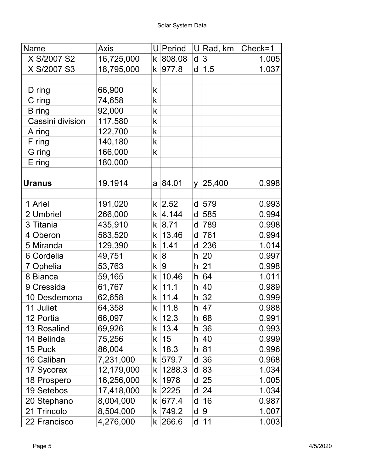| Name             | Axis       |    | $U$ Period    |         | $U$ Rad, km | $Check=1$ |
|------------------|------------|----|---------------|---------|-------------|-----------|
| X S/2007 S2      | 16,725,000 |    | $k$ 808.08    | d       | 3           | 1.005     |
| X S/2007 S3      | 18,795,000 | k  | 977.8         | d       | 1.5         | 1.037     |
|                  |            |    |               |         |             |           |
| D ring           | 66,900     | k  |               |         |             |           |
| C ring           | 74,658     | k  |               |         |             |           |
| B ring           | 92,000     | k  |               |         |             |           |
| Cassini division | 117,580    | k  |               |         |             |           |
| A ring           | 122,700    | k  |               |         |             |           |
| F ring           | 140,180    | k  |               |         |             |           |
| G ring           | 166,000    | k  |               |         |             |           |
| $E$ ring         | 180,000    |    |               |         |             |           |
|                  |            |    |               |         |             |           |
| <b>Uranus</b>    | 19.1914    |    | a 84.01       |         | y   25,400  | 0.998     |
|                  |            |    |               |         |             |           |
| 1 Ariel          | 191,020    |    | $k \,   2.52$ |         | $d$ 579     | 0.993     |
| 2 Umbriel        | 266,000    | k  | 4.144         | d       | 585         | 0.994     |
| 3 Titania        | 435,910    |    | $k$ 8.71      | d       | 789         | 0.998     |
| 4 Oberon         | 583,520    | k  | 13.46         | d       | 761         | 0.994     |
| 5 Miranda        | 129,390    | k  | 1.41          |         | $d$ 236     | 1.014     |
| 6 Cordelia       | 49,751     | k  | 8             | $h\mid$ | 20          | 0.997     |
| 7 Ophelia        | 53,763     | k. | 9             | h.      | 21          | 0.998     |
| 8 Bianca         | 59,165     | k  | 10.46         |         | h 64        | 1.011     |
| 9 Cressida       | 61,767     | k. | 11.1          |         | h 40        | 0.989     |
| 10 Desdemona     | 62,658     | k  | 11.4          |         | $h \,  32$  | 0.999     |
| 11 Juliet        | 64,358     |    | k   11.8      |         | h 47        | 0.988     |
| 12 Portia        | 66,097     | k  | 12.3          | h       | 68          | 0.991     |
| 13 Rosalind      | 69,926     | k. | 13.4          |         | h 36        | 0.993     |
| 14 Belinda       | 75,256     | k  | 15            | h       | 40          | 0.999     |
| 15 Puck          | 86,004     | k  | 18.3          |         | h 81        | 0.996     |
| 16 Caliban       | 7,231,000  | k  | 579.7         | d       | 36          | 0.968     |
| 17 Sycorax       | 12,179,000 | k  | 1288.3        | d       | 83          | 1.034     |
| 18 Prospero      | 16,256,000 | k  | 1978          | d       | 25          | 1.005     |
| 19 Setebos       | 17,418,000 | k  | 2225          | d       | 24          | 1.034     |
| 20 Stephano      | 8,004,000  | k  | 677.4         | d       | 16          | 0.987     |
| 21 Trincolo      | 8,504,000  | k  | 749.2         | d       | 9           | 1.007     |
| 22 Francisco     | 4,276,000  |    | k 266.6       |         | $d$ 11      | 1.003     |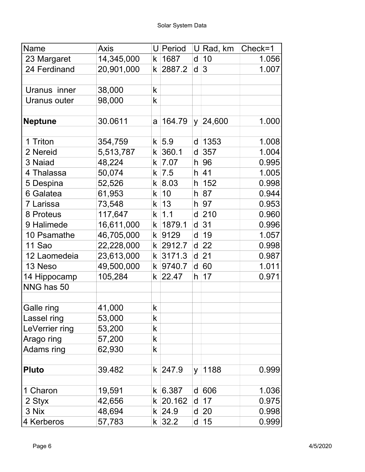| Name           | Axis       |   | U Period          | U        | Rad, km     | Check=1 |
|----------------|------------|---|-------------------|----------|-------------|---------|
| 23 Margaret    | 14,345,000 | k | 1687              | d        | 10          | 1.056   |
| 24 Ferdinand   | 20,901,000 | k | 2887.2            | d        | 3           | 1.007   |
|                |            |   |                   |          |             |         |
| Uranus inner   | 38,000     | k |                   |          |             |         |
| Uranus outer   | 98,000     | k |                   |          |             |         |
|                |            |   |                   |          |             |         |
| <b>Neptune</b> | 30.0611    | a | 164.79            | y.       | 24,600      | 1.000   |
|                |            |   |                   |          |             |         |
| 1 Triton       | 354,759    |   | $k$ 5.9           | d        | 1353        | 1.008   |
| 2 Nereid       | 5,513,787  | k | 360.1             | d        | 357         | 1.004   |
| 3 Naiad        | 48,224     | k | 7.07              |          | h 96        | 0.995   |
| 4 Thalassa     | 50,074     | k | $\vert 7.5 \vert$ |          | $h$ 41      | 1.005   |
| 5 Despina      | 52,526     |   | $k$ 8.03          |          | $h$ 152     | 0.998   |
| 6 Galatea      | 61,953     | k | 10                |          | h 87        | 0.944   |
| 7 Larissa      | 73,548     | k | 13                |          | $h$ 97      | 0.953   |
| 8 Proteus      | 117,647    | k | 1.1               | d        | 210         | 0.960   |
| 9 Halimede     | 16,611,000 | k | 1879.1            | d        | 31          | 0.996   |
| 10 Psamathe    | 46,705,000 | k | 9129              | d        | 19          | 1.057   |
| 11 Sao         | 22,228,000 | k | 2912.7            | d        | 22          | 0.998   |
| 12 Laomedeia   | 23,613,000 | k | 3171.3            | d        | 21          | 0.987   |
| 13 Neso        | 49,500,000 | k | 9740.7            | d        | 60          | 1.011   |
| 14 Hippocamp   | 105,284    | k | 22.47             | h.       | 17          | 0.971   |
| NNG has 50     |            |   |                   |          |             |         |
|                |            |   |                   |          |             |         |
| Galle ring     | 41,000     | k |                   |          |             |         |
| Lassel ring    | 53,000     | k |                   |          |             |         |
| LeVerrier ring | 53,200     | k |                   |          |             |         |
| Arago ring     | 57,200     | k |                   |          |             |         |
| Adams ring     | 62,930     | k |                   |          |             |         |
|                |            |   |                   |          |             |         |
| <b>Pluto</b>   | 39.482     |   | k 247.9           | <b>V</b> | 1188        | 0.999   |
|                |            |   |                   |          |             |         |
| 1 Charon       | 19,591     |   | k   6.387         |          | d 606       | 1.036   |
| 2 Styx         | 42,656     |   | $k$ 20.162        |          | $d$ 17      | 0.975   |
| 3 Nix          | 48,694     |   | $k$ 24.9          |          | d 20        | 0.998   |
| 4 Kerberos     | 57,783     |   | $k$ 32.2          |          | $d \mid 15$ | 0.999   |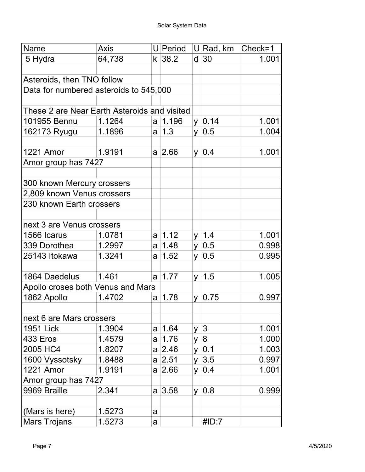| Name                                         | Axis   |   | U Period      |          | U∣Rad, km        | Check=1 |
|----------------------------------------------|--------|---|---------------|----------|------------------|---------|
| 5 Hydra                                      | 64,738 |   | $k$ 38.2      | d        | 30               | 1.001   |
|                                              |        |   |               |          |                  |         |
| Asteroids, then TNO follow                   |        |   |               |          |                  |         |
| Data for numbered asteroids to 545,000       |        |   |               |          |                  |         |
|                                              |        |   |               |          |                  |         |
| These 2 are Near Earth Asteroids and visited |        |   |               |          |                  |         |
| 101955 Bennu                                 | 1.1264 |   | a   1.196     |          | $y \mid 0.14$    | 1.001   |
| 162173 Ryugu                                 | 1.1896 |   | $a \mid 1.3$  | y.       | 0.5              | 1.004   |
|                                              |        |   |               |          |                  |         |
| <b>1221 Amor</b>                             | 1.9191 |   | $a \,   2.66$ | <b>y</b> | 0.4              | 1.001   |
| Amor group has 7427                          |        |   |               |          |                  |         |
|                                              |        |   |               |          |                  |         |
| 300 known Mercury crossers                   |        |   |               |          |                  |         |
| 2,809 known Venus crossers                   |        |   |               |          |                  |         |
| 230 known Earth crossers                     |        |   |               |          |                  |         |
|                                              |        |   |               |          |                  |         |
| next 3 are Venus crossers                    |        |   |               |          |                  |         |
| 1566 Icarus                                  | 1.0781 |   | $a \mid 1.12$ |          | $y \mid 1.4$     | 1.001   |
| 339 Dorothea                                 | 1.2997 |   | a   1.48      | y        | 0.5              | 0.998   |
| 25143 Itokawa                                | 1.3241 |   | a   1.52      | <b>V</b> | 0.5              | 0.995   |
|                                              |        |   |               |          |                  |         |
| 1864 Daedelus                                | 1.461  |   | $a \mid 1.77$ |          | $y \mid 1.5$     | 1.005   |
| Apollo croses both Venus and Mars            |        |   |               |          |                  |         |
| 1862 Apollo                                  | 1.4702 | a | 1.78          | y.       | 0.75             | 0.997   |
|                                              |        |   |               |          |                  |         |
| next 6 are Mars crossers                     |        |   |               |          |                  |         |
| <b>1951 Lick</b>                             | 1.3904 |   | a   1.64      | y        | $\overline{3}$   | 1.001   |
| <b>433 Eros</b>                              | 1.4579 | a | 1.76          | y        | $\boldsymbol{8}$ | 1.000   |
| 2005 HC4                                     | 1.8207 |   | $a \,   2.46$ | y.       | 0.1              | 1.003   |
| 1600 Vyssotsky                               | 1.8488 |   | $a \,   2.51$ | y.       | 3.5              | 0.997   |
| 1221 Amor                                    | 1.9191 |   | $a \,   2.66$ | y        | 0.4              | 1.001   |
| Amor group has 7427                          |        |   |               |          |                  |         |
| 9969 Braille                                 | 2.341  |   | $a \,   3.58$ |          | $y \mid 0.8$     | 0.999   |
|                                              |        |   |               |          |                  |         |
| (Mars is here)                               | 1.5273 | a |               |          |                  |         |
| <b>Mars Trojans</b>                          | 1.5273 | a |               |          | #ID:7            |         |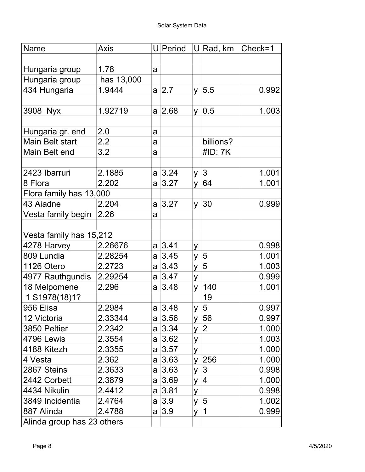| Name                       | <b>Axis</b> |   | U Period      |          | $ U $ Rad, km $ $ | Check=1 |
|----------------------------|-------------|---|---------------|----------|-------------------|---------|
|                            |             |   |               |          |                   |         |
| Hungaria group             | 1.78        | a |               |          |                   |         |
| Hungaria group             | has 13,000  |   |               |          |                   |         |
| 434 Hungaria               | 1.9444      |   | a 2.7         |          | $y \vert 5.5$     | 0.992   |
|                            |             |   |               |          |                   |         |
| 3908 Nyx                   | 1.92719     |   | $a \,   2.68$ |          | $y \mid 0.5$      | 1.003   |
|                            |             |   |               |          |                   |         |
| Hungaria gr. end           | 2.0         | a |               |          |                   |         |
| <b>Main Belt start</b>     | 2.2         | a |               |          | billions?         |         |
| Main Belt end              | 3.2         | a |               |          | #ID: 7K           |         |
|                            |             |   |               |          |                   |         |
| 2423 Ibarruri              | 2.1885      |   | $a \,   3.24$ |          | $y \mid 3$        | 1.001   |
| 8 Flora                    | 2.202       | a | 3.27          |          | y $ 64$           | 1.001   |
| Flora family has 13,000    |             |   |               |          |                   |         |
| 43 Aiadne                  | 2.204       |   | $a \,   3.27$ |          | $y \mid 30$       | 0.999   |
| Vesta family begin         | 2.26        | a |               |          |                   |         |
|                            |             |   |               |          |                   |         |
| Vesta family has 15,212    |             |   |               |          |                   |         |
| 4278 Harvey                | 2.26676     |   | $a \,   3.41$ | У        |                   | 0.998   |
| 809 Lundia                 | 2.28254     |   | $a \mid 3.45$ | y        | $\overline{5}$    | 1.001   |
| 1126 Otero                 | 2.2723      |   | $a \,   3.43$ | y        | $\overline{5}$    | 1.003   |
| 4977 Rauthgundis           | 2.29254     |   | $a \,   3.47$ | y        |                   | 0.999   |
| 18 Melpomene               | 2.296       | a | 3.48          | <b>V</b> | 140               | 1.001   |
| 1 S1978(18)1?              |             |   |               |          | 19                |         |
| 956 Elisa                  | 2.2984      |   | a 3.48        |          | $y \mid 5$        | 0.997   |
| 12 Victoria                | 2.33344     |   | $a \,   3.56$ |          | y $ 56$           | 0.997   |
| 3850 Peltier               | 2.2342      |   | $a \,   3.34$ |          | $y \mid 2$        | 1.000   |
| 4796 Lewis                 | 2.3554      |   | a 3.62        | У        |                   | 1.003   |
| 4188 Kitezh                | 2.3355      |   | $a \,   3.57$ | y        |                   | 1.000   |
| 4 Vesta                    | 2.362       |   | $a \,   3.63$ |          | y $ 256$          | 1.000   |
| 2867 Steins                | 2.3633      |   | $a \,   3.63$ |          | $y \mid 3$        | 0.998   |
| 2442 Corbett               | 2.3879      |   | $a \,   3.69$ |          | y $ 4$            | 1.000   |
| 4434 Nikulin               | 2.4412      |   | a 3.81        | y        |                   | 0.998   |
| 3849 Incidentia            | 2.4764      |   | $a \mid 3.9$  |          | y $ 5 $           | 1.002   |
| 887 Alinda                 | 2.4788      |   | $a \mid 3.9$  | y  1     |                   | 0.999   |
| Alinda group has 23 others |             |   |               |          |                   |         |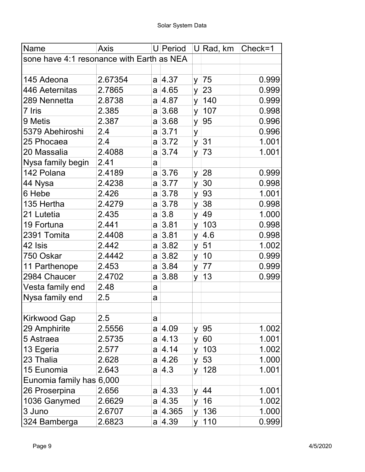| Name                                      | <b>Axis</b> |   | <b>U</b> Period | U        | Rad, km      | $Check = 1$ |
|-------------------------------------------|-------------|---|-----------------|----------|--------------|-------------|
| sone have 4:1 resonance with Earth as NEA |             |   |                 |          |              |             |
|                                           |             |   |                 |          |              |             |
| 145 Adeona                                | 2.67354     |   | $a \,   4.37$   | y.       | 75           | 0.999       |
| 446 Aeternitas                            | 2.7865      |   | $a \,   4.65$   | <b>y</b> | 23           | 0.999       |
| 289 Nennetta                              | 2.8738      |   | a  4.87         | <b>V</b> | 140          | 0.999       |
| 7 Iris                                    | 2.385       |   | a 3.68          | y.       | 107          | 0.998       |
| 9 Metis                                   | 2.387       |   | a 3.68          | y.       | 95           | 0.996       |
| 5379 Abehiroshi                           | 2.4         |   | a 3.71          | У        |              | 0.996       |
| 25 Phocaea                                | 2.4         |   | a 3.72          | y        | 31           | 1.001       |
| 20 Massalia                               | 2.4088      |   | $a \mid 3.74$   | y        | 73           | 1.001       |
| Nysa family begin                         | 2.41        | a |                 |          |              |             |
| 142 Polana                                | 2.4189      |   | $a \,   3.76$   | <b>y</b> | 28           | 0.999       |
| 44 Nysa                                   | 2.4238      |   | $a \,   3.77$   | <b>y</b> | 30           | 0.998       |
| 6 Hebe                                    | 2.426       |   | a 3.78          | y.       | 93           | 1.001       |
| 135 Hertha                                | 2.4279      |   | $a \,   3.78$   | <b>y</b> | 38           | 0.998       |
| 21 Lutetia                                | 2.435       |   | a 3.8           | <b>y</b> | 49           | 1.000       |
| 19 Fortuna                                | 2.441       |   | $a \,   3.81$   | y.       | 103          | 0.998       |
| 2391 Tomita                               | 2.4408      |   | $a$ 3.81        | <b>y</b> | 4.6          | 0.998       |
| 42 Isis                                   | 2.442       |   | $a \,   3.82$   | y        | 51           | 1.002       |
| 750 Oskar                                 | 2.4442      |   | a 3.82          | y        | 10           | 0.999       |
| 11 Parthenope                             | 2.453       |   | $a \,   3.84$   | y.       | 77           | 0.999       |
| 2984 Chaucer                              | 2.4702      | a | 3.88            | y.       | 13           | 0.999       |
| Vesta family end                          | 2.48        | a |                 |          |              |             |
| Nysa family end                           | 2.5         | a |                 |          |              |             |
|                                           |             |   |                 |          |              |             |
| Kirkwood Gap                              | 2.5         | a |                 |          |              |             |
| 29 Amphirite                              | 2.5556      |   | a 4.09          | y.       | 95           | 1.002       |
| 5 Astraea                                 | 2.5735      | a | 4.13            | y        | 60           | 1.001       |
| 13 Egeria                                 | 2.577       |   | $a \,   4.14$   | У        | 103          | 1.002       |
| 23 Thalia                                 | 2.628       |   | $a \,   4.26$   | y        | 53           | 1.000       |
| 15 Eunomia                                | 2.643       |   | $a \mid 4.3$    | y        | 128          | 1.001       |
| Eunomia family has 6,000                  |             |   |                 |          |              |             |
| 26 Proserpina                             | 2.656       |   | $a \,   4.33$   | y.       | 44           | 1.001       |
| 1036 Ganymed                              | 2.6629      |   | $a \,   4.35$   | y        | 16           | 1.002       |
| 3 Juno                                    | 2.6707      |   | $a \mid 4.365$  | y        | 136          | 1.000       |
| 324 Bamberga                              | 2.6823      |   | a 4.39          |          | $y \mid 110$ | 0.999       |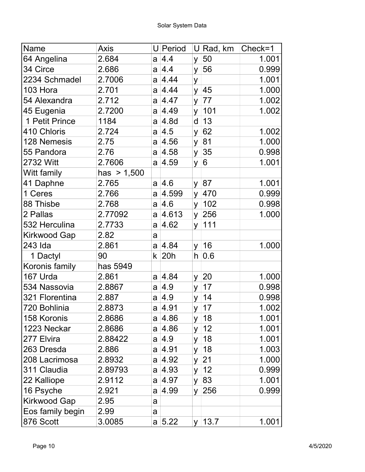| Name                | Axis          |          | U Period      |          | U∣Rad, km     | Check=1 |
|---------------------|---------------|----------|---------------|----------|---------------|---------|
| 64 Angelina         | 2.684         | a        | 4.4           | y        | 50            | 1.001   |
| 34 Circe            | 2.686         |          | $a \mid 4.4$  | y        | 56            | 0.999   |
| 2234 Schmadel       | 2.7006        |          | $a \,   4.44$ | y        |               | 1.001   |
| 103 Hora            | 2.701         |          | $a \,   4.44$ | $y \mid$ | 45            | 1.000   |
| 54 Alexandra        | 2.712         | a        | 4.47          | <b>y</b> | 77            | 1.002   |
| 45 Eugenia          | 2.7200        |          | a 4.49        |          | y 101         | 1.002   |
| 1 Petit Prince      | 1184          | a        | 4.8d          | d        | 13            |         |
| 410 Chloris         | 2.724         | a        | 4.5           | y        | 62            | 1.002   |
| 128 Nemesis         | 2.75          | a        | 4.56          | y        | 81            | 1.000   |
| 55 Pandora          | 2.76          | a        | 4.58          | y        | 35            | 0.998   |
| 2732 Witt           | 2.7606        |          | $a \,   4.59$ | y        | 6             | 1.001   |
| Witt family         | has $> 1,500$ |          |               |          |               |         |
| 41 Daphne           | 2.765         |          | a 4.6         |          | y 87          | 1.001   |
| 1 Ceres             | 2.766         | a        | 4.599         | <b>y</b> | 470           | 0.999   |
| 88 Thisbe           | 2.768         | a        | 4.6           |          | $y \mid 102$  | 0.998   |
| 2 Pallas            | 2.77092       | a        | 4.613         |          | y $ 256$      | 1.000   |
| 532 Herculina       | 2.7733        | a        | 4.62          | y        | 111           |         |
| Kirkwood Gap        | 2.82          | a        |               |          |               |         |
| 243 Ida             | 2.861         |          | $a \,   4.84$ | y        | 16            | 1.000   |
| 1 Dactyl            | 90            | k        | 20h           | h.       | 0.6           |         |
| Koronis family      | has 5949      |          |               |          |               |         |
| 167 Urda            | 2.861         |          | a 4.84        | y.       | 20            | 1.000   |
| 534 Nassovia        | 2.8867        | a        | 4.9           | y        | 17            | 0.998   |
| 321 Florentina      | 2.887         | a        | 4.9           | <b>y</b> | 14            | 0.998   |
| 720 Bohlinia        | 2.8873        | $a \mid$ | 4.91          |          | $y \mid 17$   | 1.002   |
| 158 Koronis         | 2.8686        |          | a 4.86        | y.       | 18            | 1.001   |
| 1223 Neckar         | 2.8686        |          | $a \,   4.86$ | y.       | 12            | 1.001   |
| 277 Elvira          | 2.88422       |          | a  4.9        | y        | 18            | 1.001   |
| 263 Dresda          | 2.886         | a        | 4.91          | y        | 18            | 1.003   |
| 208 Lacrimosa       | 2.8932        | a        | 4.92          | y        | 21            | 1.000   |
| 311 Claudia         | 2.89793       |          | $a \,   4.93$ | y.       | 12            | 0.999   |
| 22 Kalliope         | 2.9112        |          | a 4.97        | <b>y</b> | 83            | 1.001   |
| 16 Psyche           | 2.921         | a        | 4.99          |          | y 256         | 0.999   |
| <b>Kirkwood Gap</b> | 2.95          | a        |               |          |               |         |
| Eos family begin    | 2.99          | a        |               |          |               |         |
| 876 Scott           | 3.0085        |          | a $ 5.22 $    |          | $y \mid 13.7$ | 1.001   |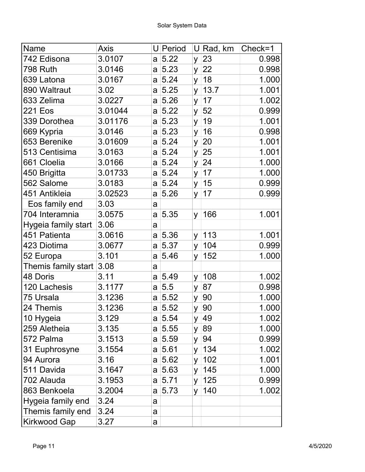| Name                | <b>Axis</b> |   | U Period      |          | $U R$ ad, km | $Check=1$ |
|---------------------|-------------|---|---------------|----------|--------------|-----------|
| 742 Edisona         | 3.0107      |   | a 5.22        | y.       | 23           | 0.998     |
| <b>798 Ruth</b>     | 3.0146      |   | a 5.23        | $y \mid$ | 22           | 0.998     |
| 639 Latona          | 3.0167      |   | a 5.24        | y        | 18           | 1.000     |
| 890 Waltraut        | 3.02        |   | a 5.25        | y        | 13.7         | 1.001     |
| 633 Zelima          | 3.0227      | a | 5.26          | y        | 17           | 1.002     |
| 221 Eos             | 3.01044     |   | a 5.22        | y        | 52           | 0.999     |
| 339 Dorothea        | 3.01176     |   | a 5.23        | y        | 19           | 1.001     |
| 669 Kypria          | 3.0146      | a | 5.23          | y        | 16           | 0.998     |
| 653 Berenike        | 3.01609     |   | a 5.24        | y        | 20           | 1.001     |
| 513 Centisima       | 3.0163      |   | a 5.24        | y        | 25           | 1.001     |
| 661 Cloelia         | 3.0166      |   | a 5.24        | y        | 24           | 1.000     |
| 450 Brigitta        | 3.01733     |   | a 5.24        | <b>y</b> | 17           | 1.000     |
| 562 Salome          | 3.0183      |   | a 5.24        | y.       | 15           | 0.999     |
| 451 Antikleia       | 3.02523     | a | 5.26          | y.       | 17           | 0.999     |
| Eos family end      | 3.03        | a |               |          |              |           |
| 704 Interamnia      | 3.0575      | a | 5.35          | y.       | 166          | 1.001     |
| Hygeia family start | 3.06        | a |               |          |              |           |
| 451 Patienta        | 3.0616      | a | 5.36          | y        | 113          | 1.001     |
| 423 Diotima         | 3.0677      | a | 5.37          | y.       | 104          | 0.999     |
| 52 Europa           | 3.101       | a | 5.46          | y        | 152          | 1.000     |
| Themis family start | 3.08        | a |               |          |              |           |
| 48 Doris            | 3.11        |   | a 5.49        | <b>y</b> | 108          | 1.002     |
| 120 Lachesis        | 3.1177      | a | 5.5           | y        | 87           | 0.998     |
| 75 Ursala           | 3.1236      |   | a 5.52        | У        | 90           | 1.000     |
| 24 Themis           | 3.1236      | a | 5.52          | y        | 90           | 1.000     |
| 10 Hygeia           | 3.129       |   | a 5.54        | y        | 49           | 1.002     |
| 259 Aletheia        | 3.135       |   | a 5.55        |          | y 89         | 1.000     |
| 572 Palma           | 3.1513      |   | a 5.59        | y        | 94           | 0.999     |
| 31 Euphrosyne       | 3.1554      |   | a 5.61        | y.       | 134          | 1.002     |
| 94 Aurora           | 3.16        |   | a 5.62        | <b>y</b> | 102          | 1.001     |
| 511 Davida          | 3.1647      |   | a 5.63        | y.       | 145          | 1.000     |
| 702 Alauda          | 3.1953      |   | $a \mid 5.71$ |          | y   125      | 0.999     |
| 863 Benkoela        | 3.2004      |   | a 5.73        | <b>y</b> | 140          | 1.002     |
| Hygeia family end   | 3.24        | a |               |          |              |           |
| Themis family end   | 3.24        | a |               |          |              |           |
| <b>Kirkwood Gap</b> | 3.27        | a |               |          |              |           |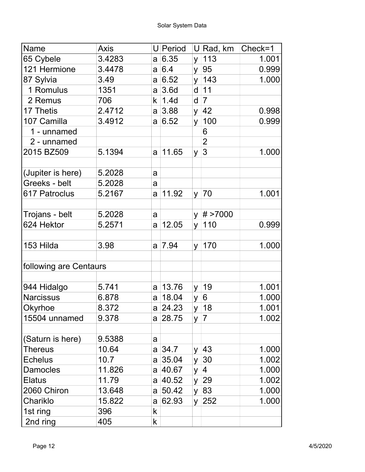| Name                   | <b>Axis</b> |                | U Period         |          | $U$ Rad, km       | Check=1 |
|------------------------|-------------|----------------|------------------|----------|-------------------|---------|
| 65 Cybele              | 3.4283      |                | a 6.35           | <b>y</b> | 113               | 1.001   |
| 121 Hermione           | 3.4478      |                | a 6.4            | y        | 95                | 0.999   |
| 87 Sylvia              | 3.49        |                | a 6.52           |          | $y \mid 143$      | 1.000   |
| 1 Romulus              | 1351        |                | a 3.6d           | d        | 11                |         |
| 2 Remus                | 706         | k              | 1.4 <sub>d</sub> | d        | $\vert 7 \vert$   |         |
| 17 Thetis              | 2.4712      |                | $a \,   3.88$    |          | y $ 42 $          | 0.998   |
| 107 Camilla            | 3.4912      |                | a 6.52           | y.       | 100               | 0.999   |
| 1 - unnamed            |             |                |                  |          | 6                 |         |
| 2 - unnamed            |             |                |                  |          | $\overline{2}$    |         |
| 2015 BZ509             | 5.1394      | a              | 11.65            | y        | 3                 | 1.000   |
|                        |             |                |                  |          |                   |         |
| (Jupiter is here)      | 5.2028      | a              |                  |          |                   |         |
| Greeks - belt          | 5.2028      | a              |                  |          |                   |         |
| 617 Patroclus          | 5.2167      | a              | 11.92            |          | $y \mid 70$       | 1.001   |
|                        |             |                |                  |          |                   |         |
| Trojans - belt         | 5.2028      | a              |                  |          | $y \mid # > 7000$ |         |
| 624 Hektor             | 5.2571      | a              | 12.05            |          | y   110           | 0.999   |
|                        |             |                |                  |          |                   |         |
| 153 Hilda              | 3.98        | a              | 7.94             |          | $y \mid 170$      | 1.000   |
| following are Centaurs |             |                |                  |          |                   |         |
|                        |             |                |                  |          |                   |         |
| 944 Hidalgo            | 5.741       | a              | 13.76            | y        | 19                | 1.001   |
| <b>Narcissus</b>       | 6.878       | a              | 18.04            | y        | 6                 | 1.000   |
| Okyrhoe                | 8.372       |                | a 24.23          |          | y $ 18$           | 1.001   |
| 15504 unnamed          | 9.378       |                | a 28.75          |          | $y \mid 7$        | 1.002   |
|                        |             |                |                  |          |                   |         |
| (Saturn is here)       | 9.5388      | a              |                  |          |                   |         |
| Thereus                | 10.64       |                | a 34.7           |          | y $ 43 $          | 1.000   |
| <b>Echelus</b>         | 10.7        |                | $a$ 35.04        |          | y $ 30 $          | 1.002   |
| <b>Damocles</b>        | 11.826      | a <sub>l</sub> | 40.67            |          | y $ 4$            | 1.000   |
| Elatus                 | 11.79       |                | a 40.52          |          | y $ 29 $          | 1.002   |
| 2060 Chiron            | 13.648      |                | a 50.42          |          | y $ 83 $          | 1.000   |
| Chariklo               | 15.822      |                | a 62.93          |          | y $ 252 $         | 1.000   |
| 1st ring               | 396         | k              |                  |          |                   |         |
| 2nd ring               | 405         | k              |                  |          |                   |         |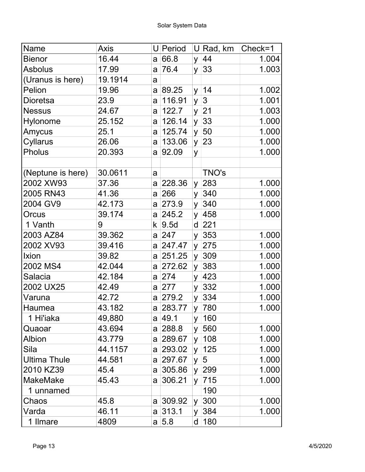| Name                | <b>Axis</b> |   | U Period  |          | U∣Rad, km      | Check=1 |
|---------------------|-------------|---|-----------|----------|----------------|---------|
| <b>Bienor</b>       | 16.44       |   | a 66.8    | y        | 44             | 1.004   |
| <b>Asbolus</b>      | 17.99       | a | 76.4      | y        | 33             | 1.003   |
| (Uranus is here)    | 19.1914     | a |           |          |                |         |
| Pelion              | 19.96       |   | a 89.25   | y.       | 14             | 1.002   |
| <b>Dioretsa</b>     | 23.9        | a | 116.91    | y        | $\mathfrak{S}$ | 1.001   |
| <b>Nessus</b>       | 24.67       | a | 122.7     |          | $y$ 21         | 1.003   |
| Hylonome            | 25.152      | a | 126.14    | y        | 33             | 1.000   |
| Amycus              | 25.1        | a | 125.74    | y        | 50             | 1.000   |
| Cyllarus            | 26.06       | a | 133.06    | y        | 23             | 1.000   |
| Pholus              | 20.393      | a | 92.09     | y        |                | 1.000   |
|                     |             |   |           |          |                |         |
| (Neptune is here)   | 30.0611     | a |           |          | TNO's          |         |
| 2002 XW93           | 37.36       |   | a 228.36  | y.       | 283            | 1.000   |
| 2005 RN43           | 41.36       |   | a 266     | <b>y</b> | 340            | 1.000   |
| 2004 GV9            | 42.173      |   | a 273.9   | y.       | 340            | 1.000   |
| Orcus               | 39.174      |   | a 245.2   | y        | 458            | 1.000   |
| 1 Vanth             | 9           |   | k  9.5d   | d        | 221            |         |
| 2003 AZ84           | 39.362      |   | a 247     |          | $y$ 353        | 1.000   |
| 2002 XV93           | 39.416      |   | a 247.47  | y        | 275            | 1.000   |
| Ixion               | 39.82       | a | 251.25    | y        | 309            | 1.000   |
| 2002 MS4            | 42.044      | a | 272.62    | y        | 383            | 1.000   |
| Salacia             | 42.184      |   | a 274     | <b>y</b> | 423            | 1.000   |
| 2002 UX25           | 42.49       |   | a 277     | y        | 332            | 1.000   |
| Varuna              | 42.72       |   | a 279.2   |          | $y$ 334        | 1.000   |
| Haumea              | 43.182      |   | a 283.77  |          | y 780          | 1.000   |
| 1 Hi'iaka           | 49,880      |   | a 49.1    | y.       | 160            |         |
| Quaoar              | 43.694      |   | a 288.8   | y        | 560            | 1.000   |
| <b>Albion</b>       | 43.779      |   | a 289.67  | y        | 108            | 1.000   |
| Sila                | 44.1157     |   | a 293.02  |          | $y \mid 125$   | 1.000   |
| <b>Ultima Thule</b> | 44.581      |   | a 297.67  | y        | 5              | 1.000   |
| 2010 KZ39           | 45.4        |   | a 305.86  |          | y 299          | 1.000   |
| <b>MakeMake</b>     | 45.43       |   | a 306.21  | <b>y</b> | 715            | 1.000   |
| 1 unnamed           |             |   |           |          | 190            |         |
| Chaos               | 45.8        |   | a 309.92  | y.       | 300            | 1.000   |
| Varda               | 46.11       |   | $a$ 313.1 | y.       | 384            | 1.000   |
| 1 Ilmare            | 4809        |   | a 5.8     |          | d   180        |         |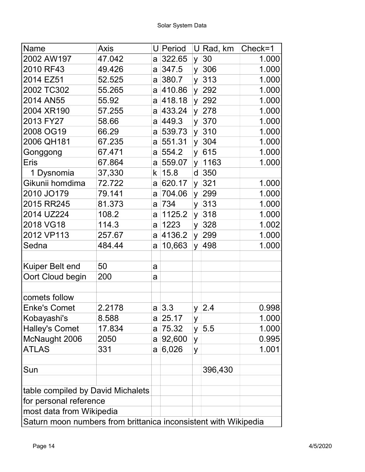| Name                                                            | Axis   |                | U Period        |              | $U$ Rad, km | $Check=1$ |
|-----------------------------------------------------------------|--------|----------------|-----------------|--------------|-------------|-----------|
| 2002 AW197                                                      | 47.042 | a              | 322.65          | y.           | 30          | 1.000     |
| 2010 RF43                                                       | 49.426 |                | a 347.5         | y            | 306         | 1.000     |
| 2014 EZ51                                                       | 52.525 |                | a 380.7         | <b>y</b>     | 313         | 1.000     |
| 2002 TC302                                                      | 55.265 |                | a 410.86        |              | $y$ 292     | 1.000     |
| 2014 AN55                                                       | 55.92  | a              | 418.18          | y.           | 292         | 1.000     |
| 2004 XR190                                                      | 57.255 | a              | 433.24          |              | y 278       | 1.000     |
| 2013 FY27                                                       | 58.66  |                | a 449.3         | y            | 370         | 1.000     |
| 2008 OG19                                                       | 66.29  |                | $a \mid 539.73$ | y            | 310         | 1.000     |
| 2006 QH181                                                      | 67.235 | a              | 551.31          | y            | 304         | 1.000     |
| Gonggong                                                        | 67.471 | a              | 554.2           | y            | 615         | 1.000     |
| <b>Eris</b>                                                     | 67.864 | a              | 559.07          | <b>y</b>     | 1163        | 1.000     |
| 1 Dysnomia                                                      | 37,330 | k              | 15.8            | d            | 350         |           |
| Gikunii homdima                                                 | 72.722 | a              | 620.17          | y.           | 321         | 1.000     |
| 2010 JO179                                                      | 79.141 | a              | 704.06          | $\mathsf{V}$ | 299         | 1.000     |
| 2015 RR245                                                      | 81.373 | a              | 734             | <b>y</b>     | 313         | 1.000     |
| 2014 UZ224                                                      | 108.2  | a              | 1125.2          | <b>y</b>     | 318         | 1.000     |
| 2018 VG18                                                       | 114.3  | a              | 1223            |              | y 328       | 1.002     |
| 2012 VP113                                                      | 257.67 | a              | 4136.2          | y            | 299         | 1.000     |
| Sedna                                                           | 484.44 | a              | 10,663          | <b>y</b>     | 498         | 1.000     |
|                                                                 |        |                |                 |              |             |           |
| Kuiper Belt end                                                 | 50     | a              |                 |              |             |           |
| Oort Cloud begin                                                | 200    | a              |                 |              |             |           |
|                                                                 |        |                |                 |              |             |           |
| comets follow                                                   |        |                |                 |              |             |           |
| <b>Enke's Comet</b>                                             | 2.2178 | a <sub>1</sub> | 3.3             | $y \mid$     | 2.4         | 0.998     |
| Kobayashi's                                                     | 8.588  |                | $a$ 25.17       | У            |             | 1.000     |
| <b>Halley's Comet</b>                                           | 17.834 | a              | 75.32           | y.           | 5.5         | 1.000     |
| McNaught 2006                                                   | 2050   | a              | 92,600          | У            |             | 0.995     |
| <b>ATLAS</b>                                                    | 331    | a              | 6,026           | У            |             | 1.001     |
|                                                                 |        |                |                 |              |             |           |
| Sun                                                             |        |                |                 |              | 396,430     |           |
|                                                                 |        |                |                 |              |             |           |
| table compiled by David Michalets                               |        |                |                 |              |             |           |
| for personal reference                                          |        |                |                 |              |             |           |
| most data from Wikipedia                                        |        |                |                 |              |             |           |
| Saturn moon numbers from brittanica inconsistent with Wikipedia |        |                |                 |              |             |           |